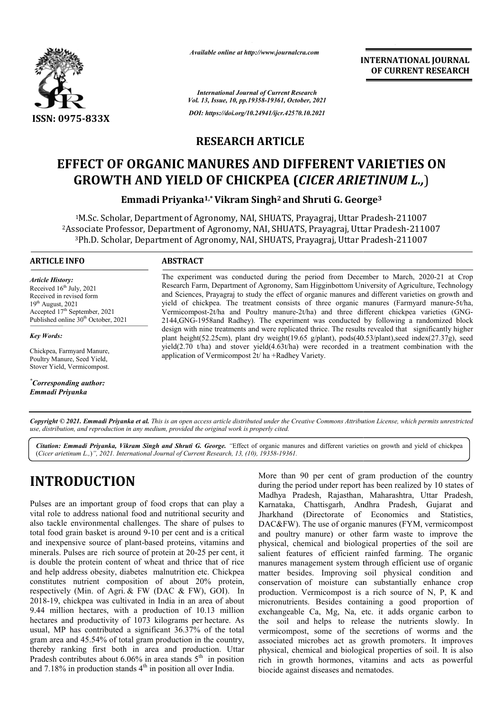

*Available online at http://www.journalcra.com*

**INTERNATIONAL JOURNAL OF CURRENT RESEARCH**

*International Journal of Current Research Vol. 13, Issue, 10, pp.19358-19361, October, 2021 DOI: https://doi.org/10.24941/ijcr.42570.10.2021*

#### **RESEARCH ARTICLE**

# **EFFECT OF ORGANIC MANURES AND DIFFERENT VARIETIES ON GROWTH AND YIELD OF CHICKPEA (** *CICER ARIETINUM L.,* )

**Emmadi Priyanka Priyanka1,\*Vikram Singh2 and Shruti G. George George3**

<sup>1</sup>M.Sc. Scholar, Department of Agronomy, NAI, SHUATS, Prayagraj, Uttar Pradesh-211007 2Associate Professor, Department of Agronomy, NAI, SHUATS, Prayagraj, Uttar Pradesh <sup>3</sup>Ph.D. Scholar, Department of Agronomy, NAI, SHUATS, Prayagraj, Uttar Pradesh-211007 M.Sc.<br>ociate:<br>Ph.D. of Agronomy, NAI, SHUATS, Prayagraj, Uttar Pradesh-211007

#### **ARTICLE INFO ABSTRACT**

*Article History: Article History:* Received  $16<sup>th</sup>$  July, 2021 Received in revised form<br>19<sup>th</sup> August, 2021  $19<sup>th</sup>$  August, 2021 Accepted 17<sup>th</sup> September, 2021 Published online 30<sup>th</sup> October, 2021

*Key Words:*

Chickpea, Farmyard Manure, Poultry Manure, Seed Yield, Stover Yield, Vermicompost.

*\* Corresponding author: Emmadi Priyanka*

The experiment was conducted during the period from December to March, 2020-21 at Crop Research Farm, Department of Agronomy, Sam Higginbottom University of Agriculture, Technology and Sciences, Prayagraj to study the effect of organic manures and different varieties on growth and yield of chickpea. The treatment consists of three organic manures (Farmyard manure-5t/ha, Vermicompost-2t/ha and Poultry manure-2t/ha) and three different chickpea varieties (GNG-2144,G 2144,GNG-1958and Radhey). The experiment was conducted by following a randomized block design with nine treatments and were replicated thrice. The results revealed that significantly higher 2144, GNG-1958 and Radhey). The experiment was conducted by following a randomized block design with nine treatments and were replicated thrice. The results revealed that significantly higher plant height(52.25cm), plant d yield(2.70  $t/ha$ ) and stover yield(4.63 $t/ha$ ) were recorded in a treatment combination with the application of Vermicompost 2t/ ha +Radhey Variety. Research Farm, Department of Agronomy, Sam Higginbottom University of Agriculture, Technology<br>and Sciences, Prayagraj to study the effect of organic manures and different varieties on growth and<br>yield of chickpea. The trea

Copyright © 2021. Emmadi Priyanka et al. This is an open access article distributed under the Creative Commons Attribution License, which permits unrestricted *use, distribution, and reproduction in any medium, provided the original work is properly cited.*

Citation: Emmadi Priyanka, Vikram Singh and Shruti G. George. "Effect of organic manures and different varieties on growth and yield of chickpea (*Cicer arietinum L.,*)*", 2021. International Journal of Current Research, 13, (10), 19358-19361.*

# **INTRODUCTION**

Pulses are an important group of food crops that can play a vital role to address national food and nutritional security and also tackle environmental challenges. The share of pulses to total food grain basket is around 9-10 per cent and is a critical and inexpensive source of plant-based proteins, vitamins and total food grain basket is around 9-10 per cent and is a critical<br>and inexpensive source of plant-based proteins, vitamins and<br>minerals. Pulses are rich source of protein at 20-25 per cent, it is double the protein content of wheat and thrice that of rice and help address obesity, diabetes malnutrition etc. Chickpea constitutes nutrient composition of about 20% protein, respectively (Min. of Agri. & FW (DAC & FW), GOI). In 2018-19, chickpea was cultivated in India in an area of about 9.44 million hectares, with a production of 10.13 million hectares and productivity of 1073 kilograms per hectare. As usual, MP has contributed a significant 36.37% of the total gram area and 45.54% of total gram production in the country, thereby ranking first both in area and production. Uttar Pradesh contributes about 6.06% in area stands  $5<sup>th</sup>$  in position and  $7.18\%$  in production stands  $4<sup>th</sup>$  in position all over India.

More than 90 per cent of gram production of the country during the period under report has been realized by 10 states of during the period under report has been realized by 10 states of Madhya Pradesh, Rajasthan, Maharashtra, Uttar Pradesh, Karnataka, Chattisgarh, Andhra Pradesh, Andhra Gujarat and Jharkhand (Directorate of Economics and Statistics, DAC&FW). The use of organic manures (FYM, vermicompost and poultry manure) or other farm waste to improve the physical, chemical and biological biological properties of the soil are salient features of efficient rainfed farming. The organic salient features of efficient rainfed farming. The organic<br>manures management system through efficient use of organic matter besides. Improving soil physical condition and conservation of moisture can substantially enhance crop production. Vermicompost is a rich source of  $N$ ,  $P$ ,  $K$  and micronutrients. Besides containing a good proportion of exchangeable Ca, Mg, Na, etc. it adds organic carbon to the soil and helps to release the nutrients slowly. In the soil and helps to release the nutrients slowly. In vermicompost, some of the secretions of worms and the associated microbes act as growth promoters. It improves physical, chemical and biological biological properties of soil. It is also rich in growth hormones, vitamins and acts as powerful biocide against diseases and nematodes.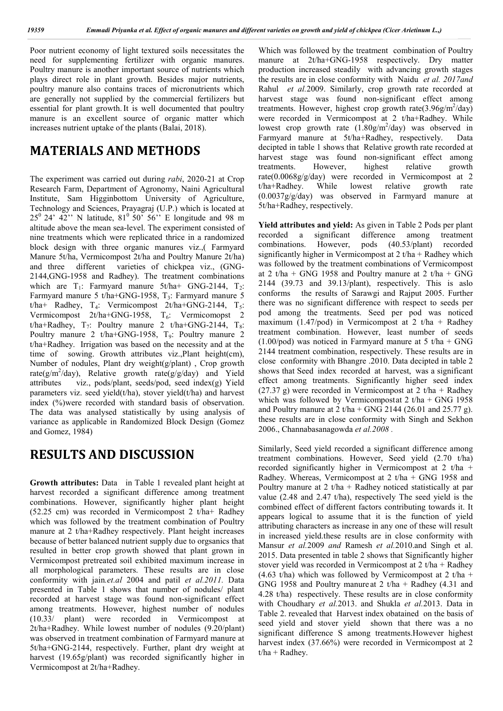Poor nutrient economy of light textured soils necessitates the need for supplementing fertilizer with organic manures. Poultry manure is another important source of nutrients which plays direct role in plant growth. Besides major nutrients, poultry manure also contains traces of micronutrients which are generally not supplied by the commercial fertilizers but essential for plant growth.It is well documented that poultry manure is an excellent source of organic matter which increases nutrient uptake of the plants (Balai, 2018).

## **MATERIALS AND METHODS**

The experiment was carried out during *rabi*, 2020-21 at Crop Research Farm, Department of Agronomy, Naini Agricultural Institute, Sam Higginbottom University of Agriculture, Technology and Sciences, Prayagraj (U.P.) which is located at  $25^{\circ}$  24'  $42^{\circ}$ ' N latitude,  $81^{\circ}$   $50^{\circ}$   $56^{\circ}$ ' E longitude and 98 m altitude above the mean sea-level. The experiment consisted of nine treatments which were replicated thrice in a randomized block design with three organic manures viz.,( Farmyard Manure 5t/ha, Vermicompost 2t/ha and Poultry Manure 2t/ha) and three different varieties of chickpea viz., (GNG-2144,GNG-1958 and Radhey). The treatment combinations which are  $T_1$ : Farmyard manure 5t/ha+ GNG-2144,  $T_2$ : Farmyard manure 5 t/ha+GNG-1958,  $T_3$ : Farmyard manure 5 t/ha+ Radhey,  $T_4$ : Vermicompost 2t/ha+GNG-2144,  $T_5$ : Vermicompost  $2t/ha+GNG-1958$ ,  $T_6$ : Vermicomopst 2 t/ha+Radhey,  $T_7$ : Poultry manure 2 t/ha+GNG-2144,  $T_8$ : Poultry manure 2 t/ha+GNG-1958,  $T_9$ : Poultry manure 2 t/ha+Radhey. Irrigation was based on the necessity and at the time of sowing. Growth attributes viz.,Plant height(cm), Number of nodules, Plant dry weight(g/plant) , Crop growth rate( $g/m^2$ /day), Relative growth rate( $g/g$ /day) and Yield attributes viz., pods/plant, seeds/pod, seed index(g) Yield parameters viz. seed yield(t/ha), stover yield(t/ha) and harvest index (%)were recorded with standard basis of observation. The data was analysed statistically by using analysis of variance as applicable in Randomized Block Design (Gomez and Gomez, 1984)

#### **RESULTS AND DISCUSSION**

**Growth attributes:** Data in Table 1 revealed plant height at harvest recorded a significant difference among treatment combinations. However, significantly higher plant height (52.25 cm) was recorded in Vermicompost 2 t/ha+ Radhey which was followed by the treatment combination of Poultry manure at 2 t/ha+Radhey respectively. Plant height increases because of better balanced nutrient supply due to orgsanics that resulted in better crop growth showed that plant grown in Vermicompost pretreated soil exhibited maximum increase in all morphological parameters. These results are in close conformity with jain*.et.al* 2004 and patil *et al.2011.* Data presented in Table 1 shows that number of nodules/ plant recorded at harvest stage was found non-significant effect among treatments. However, highest number of nodules (10.33/ plant) were recorded in Vermicompost at 2t/ha+Radhey. While lowest number of nodules (9.20/plant) was observed in treatment combination of Farmyard manure at 5t/ha+GNG-2144, respectively. Further, plant dry weight at harvest (19.65g/plant) was recorded significantly higher in Vermicompost at 2t/ha+Radhey.

Which was followed by the treatment combination of Poultry manure at 2t/ha+GNG-1958 respectively. Dry matter production increased steadily with advancing growth stages the results are in close conformity with Naidu *et al. 2017and*  Rahul *et al.*2009. Similarly, crop growth rate recorded at harvest stage was found non-significant effect among treatments. However, highest crop growth rate $(3.96g/m^2/day)$ were recorded in Vermicompost at 2 t/ha+Radhey. While lowest crop growth rate  $(1.80g/m^2/day)$  was observed in Farmyard manure at 5t/ha+Radhey, respectively. Data decipted in table 1 shows that Relative growth rate recorded at harvest stage was found non-significant effect among treatments. However, highest relative growth rate(0.0068g/g/day) were recorded in Vermicompost at 2 t/ha+Radhey. While lowest relative growth rate (0.0037g/g/day) was observed in Farmyard manure at 5t/ha+Radhey, respectively.

**Yield attributes and yield:** As given in Table 2 Pods per plant recorded a significant difference among treatment combinations. However, pods (40.53/plant) recorded significantly higher in Vermicompost at  $2 t/ha + Radhey$  which was followed by the treatment combinations of Vermicompost at 2 t/ha + GNG 1958 and Poultry manure at 2 t/ha + GNG 2144 (39.73 and 39.13/plant), respectively. This is aslo conforms the results of Sarawgi and Rajput 2005. Further there was no significant difference with respect to seeds per pod among the treatments. Seed per pod was noticed maximum (1.47/pod) in Vermicompost at 2 t/ha + Radhey treatment combination. However, least number of seeds  $(1.00\text{/pod})$  was noticed in Farmyard manure at 5 t/ha + GNG 2144 treatment combination, respectively. These results are in close conformity with Bhangre .2010. Data decipted in table 2 shows that Seed index recorded at harvest, was a significant effect among treatments. Significantly higher seed index (27.37 g) were recorded in Vermicompost at 2 t/ha + Radhey which was followed by Vermicompostat  $2 t/ha + GNG$  1958 and Poultry manure at  $2 t/ha + GNG 2144 (26.01 and 25.77 g)$ . these results are in close conformity with Singh and Sekhon 2006., Channabasanagowda *et al.2008 .*

Similarly, Seed yield recorded a significant difference among treatment combinations. However, Seed yield (2.70 t/ha) recorded significantly higher in Vermicompost at 2 t/ha + Radhey. Whereas, Vermicompost at 2 t/ha + GNG 1958 and Poultry manure at  $2 t/ha + Radhey$  noticed statistically at par value (2.48 and 2.47 t/ha), respectively The seed yield is the combined effect of different factors contributing towards it. It appears logical to assume that it is the function of yield attributing characters as increase in any one of these will result in increased yield.these results are in close conformity with Mansur *et al.*2009 *and* Ramesh *et al.*2010.and Singh et al. 2015. Data presented in table 2 shows that Significantly higher stover yield was recorded in Vermicompost at 2 t/ha + Radhey (4.63 t/ha) which was followed by Vermicompost at 2 t/ha + GNG 1958 and Poultry manure at 2 t/ha + Radhey (4.31 and 4.28 t/ha) respectively. These results are in close conformity with Choudhary *et al.*2013. and Shukla *et al.*2013. Data in Table 2. revealed that Harvest index obatained on the basis of seed yield and stover yield shown that there was a no significant difference S among treatments.However highest harvest index (37.66%) were recorded in Vermicompost at 2  $t/ha + Radhey.$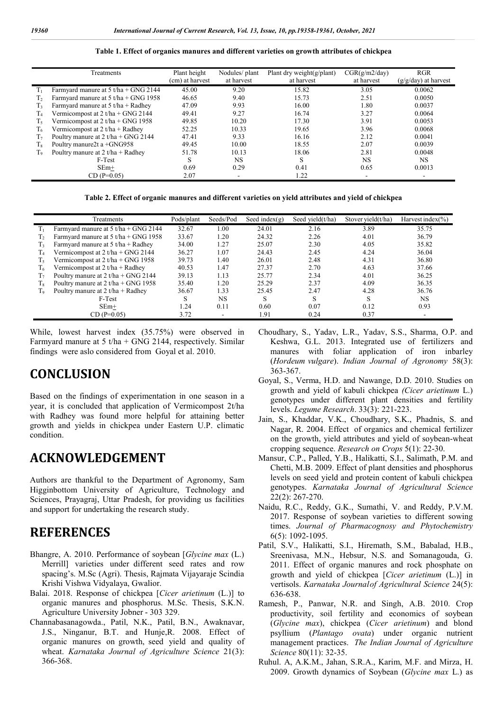#### **Table 1. Effect of organics manures and different varieties on growth attributes of chickpea**

|                | Treatments                             | Plant height    | Nodules/plant          | Plant dry weight(g/plant) | CGR(g/m2/day) | <b>RGR</b>             |
|----------------|----------------------------------------|-----------------|------------------------|---------------------------|---------------|------------------------|
|                |                                        | (cm) at harvest | at harvest             | at harvest                | at harvest    | $(g/g/day)$ at harvest |
| $T_{1}$        | Farmyard manure at $5 t/ha + GNG 2144$ | 45.00           | 9.20                   | 15.82                     | 3.05          | 0.0062                 |
| T <sub>2</sub> | Farmyard manure at $5$ t/ha + GNG 1958 | 46.65           | 9.40                   | 15.73                     | 2.51          | 0.0050                 |
| $T_{3}$        | Farmyard manure at $5 t/ha + Radhey$   | 47.09           | 9.93                   | 16.00                     | 1.80          | 0.0037                 |
| T <sub>4</sub> | Vermicompost at $2 t/ha + GNG 2144$    | 49.41           | 9.27                   | 16.74                     | 3.27          | 0.0064                 |
| T،             | Vermicompost at $2 t/ha + GNG$ 1958    | 49.85           | 10.20<br>10.33<br>9.33 | 17.30                     | 3.91          | 0.0053                 |
| T6             | Vermicompost at $2 t/ha + Radhey$      | 52.25           |                        | 19.65                     | 3.96          | 0.0068                 |
| T <sub>7</sub> | Poultry manure at $2 t/ha + GNG 2144$  | 47.41           |                        | 16.16                     | 2.12          | 0.0041                 |
| T <sub>s</sub> | Poultry manure 2t a $+$ GNG958         | 49.45           | 10.00                  | 18.55                     | 2.07          | 0.0039                 |
| Тo             | Poultry manure at $2 t / ha + Radhey$  | 51.78           | 10.13                  | 18.06                     | 2.81          | 0.0048                 |
|                | F-Test                                 | S               | NS.                    | S                         | NS.           | NS.                    |
|                | $SEm+$                                 | 0.69            | 0.29                   | 0.41                      | 0.65          | 0.0013                 |
|                | $CD (P=0.05)$                          | 2.07            | ٠                      | 1.22                      |               |                        |
|                |                                        |                 |                        |                           |               |                        |

**Table 2. Effect of organic manures and different varieties on yield attributes and yield of chickpea**

|             | Treatments                             | Pods/plant | Seeds/Pod | Seed index $(g)$ | Seed yield(t/ha) | Stover yield(t/ha) | Harvest index $(\% )$ |
|-------------|----------------------------------------|------------|-----------|------------------|------------------|--------------------|-----------------------|
| Tı          | Farmyard manure at $5 t/ha + GNG 2144$ | 32.67      | 1.00      | 24.01            | 2.16             | 3.89               | 35.75                 |
| T,          | Farmyard manure at $5 t/ha + GNG$ 1958 | 33.67      | 1.20      | 24.32            | 2.26             | 4.01               | 36.79                 |
| T,          | Farmyard manure at $5 t/ha + Radhey$   | 34.00      | 1.27      | 25.07            | 2.30             | 4.05               | 35.82                 |
| $\rm T_{4}$ | Vermicompost at $2 t/ha + GNG 2144$    | 36.27      | 1.07      | 24.43            | 2.45             | 4.24               | 36.04                 |
| T٢          | Vermicompost at $2 t/ha + GNG$ 1958    | 39.73      | 1.40      | 26.01            | 2.48             | 4.31               | 36.80                 |
| T.          | Vermicompost at $2 t/ha + Radhey$      | 40.53      | 1.47      | 27.37            | 2.70             | 4.63               | 37.66                 |
| T7          | Poultry manure at 2 t/ha + GNG 2144    | 39.13      | 1.13      | 25.77            | 2.34             | 4.01               | 36.25                 |
| $T_{8}$     | Poultry manure at $2 t/ha + GNG$ 1958  | 35.40      | 1.20      | 25.29            | 2.37             | 4.09               | 36.35                 |
| Тo          | Poultry manure at 2 t/ha + Radhey      | 36.67      | 1.33      | 25.45            | 2.47             | 4.28               | 36.76                 |
|             | F-Test                                 |            | NS.       | $\sim$<br>э.     | S                | S                  | <b>NS</b>             |
|             | $SEm+$                                 | 1.24       | 0.11      | 0.60             | 0.07             | 0.12               | 0.93                  |
|             | $CD (P=0.05)$                          | 3.72       |           | 1.91             | 0.24             | 0.37               | -                     |

While, lowest harvest index (35.75%) were observed in Farmyard manure at 5 t/ha + GNG 2144, respectively. Similar findings were aslo considered from Goyal et al. 2010.

## **CONCLUSION**

Based on the findings of experimentation in one season in a year, it is concluded that application of Vermicompost 2t/ha with Radhey was found more helpful for attaining better growth and yields in chickpea under Eastern U.P. climatic condition.

#### **ACKNOWLEDGEMENT**

Authors are thankful to the Department of Agronomy, Sam Higginbottom University of Agriculture, Technology and Sciences, Prayagraj, Uttar Pradesh, for providing us facilities and support for undertaking the research study.

## **REFERENCES**

- Bhangre, A. 2010. Performance of soybean [*Glycine max* (L.) Merrill] varieties under different seed rates and row spacing's. M.Sc (Agri). Thesis, Rajmata Vijayaraje Scindia Krishi Vishwa Vidyalaya, Gwalior.
- Balai. 2018. Response of chickpea [*Cicer arietinum* (L.)] to organic manures and phosphorus. M.Sc. Thesis, S.K.N. Agriculture University Jobner - 303 329.
- Channabasanagowda., Patil, N.K., Patil, B.N., Awaknavar, J.S., Ninganur, B.T. and Hunje,R. 2008. Effect of organic manures on growth, seed yield and quality of wheat. *Karnataka Journal of Agriculture Science* 21(3): 366-368.
- Choudhary, S., Yadav, L.R., Yadav, S.S., Sharma, O.P. and Keshwa, G.L. 2013. Integrated use of fertilizers and manures with foliar application of iron inbarley (*Hordeum vulgare*). *Indian Journal of Agronomy* 58(3): 363-367.
- Goyal, S., Verma, H.D. and Nawange, D.D. 2010. Studies on growth and yield of kabuli chickpea *(Cicer arietinum* L.) genotypes under different plant densities and fertility levels. *Legume Research*. 33(3): 221-223.
- Jain, S., Khaddar, V.K., Choudhary, S.K., Phadnis, S. and Nagar, R. 2004. Effect of organics and chemical fertilizer on the growth, yield attributes and yield of soybean-wheat cropping sequence. *Research on Crops* 5(1): 22-30.
- Mansur, C.P., Palled, Y.B., Halikatti, S.I., Salimath, P.M. and Chetti, M.B. 2009. Effect of plant densities and phosphorus levels on seed yield and protein content of kabuli chickpea genotypes. *Karnataka Journal of Agricultural Science* 22(2): 267-270.
- Naidu, R.C., Reddy, G.K., Sumathi, V. and Reddy, P.V.M. 2017. Response of soybean varieties to different sowing times. *Journal of Pharmacognosy and Phytochemistry*  6(5): 1092-1095.
- Patil, S.V., Halikatti, S.I., Hiremath, S.M., Babalad, H.B., Sreenivasa, M.N., Hebsur, N.S. and Somanagouda, G. 2011. Effect of organic manures and rock phosphate on growth and yield of chickpea [*Cicer arietinum* (L.)] in vertisols. *Karnataka Journalof Agricultural Science* 24(5): 636-638.
- Ramesh, P., Panwar, N.R. and Singh, A.B. 2010. Crop productivity, soil fertility and economics of soybean (*Glycine max*), chickpea (*Cicer arietinum*) and blond psyllium (*Plantago ovata*) under organic nutrient management practices. *The Indian Journal of Agriculture Science* 80(11): 32-35.
- Ruhul. A, A.K.M., Jahan, S.R.A., Karim, M.F. and Mirza, H. 2009. Growth dynamics of Soybean (*Glycine max* L.) as